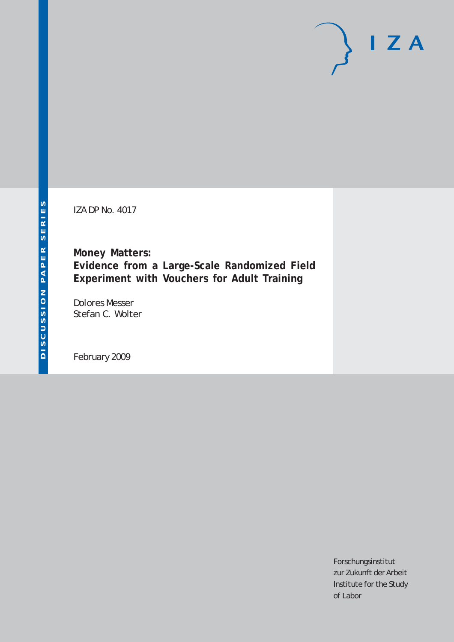IZA DP No. 4017

**Money Matters: Evidence from a Large-Scale Randomized Field Experiment with Vouchers for Adult Training**

Dolores Messer Stefan C. Wolter

February 2009

Forschungsinstitut zur Zukunft der Arbeit Institute for the Study of Labor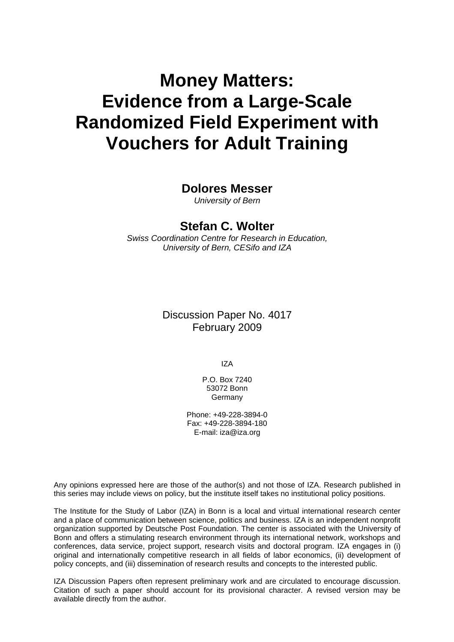# **Money Matters: Evidence from a Large-Scale Randomized Field Experiment with Vouchers for Adult Training**

### **Dolores Messer**

*University of Bern* 

# **Stefan C. Wolter**

*Swiss Coordination Centre for Research in Education, University of Bern, CESifo and IZA* 

> Discussion Paper No. 4017 February 2009

> > IZA

P.O. Box 7240 53072 Bonn Germany

Phone: +49-228-3894-0 Fax: +49-228-3894-180 E-mail: [iza@iza.org](mailto:iza@iza.org)

Any opinions expressed here are those of the author(s) and not those of IZA. Research published in this series may include views on policy, but the institute itself takes no institutional policy positions.

The Institute for the Study of Labor (IZA) in Bonn is a local and virtual international research center and a place of communication between science, politics and business. IZA is an independent nonprofit organization supported by Deutsche Post Foundation. The center is associated with the University of Bonn and offers a stimulating research environment through its international network, workshops and conferences, data service, project support, research visits and doctoral program. IZA engages in (i) original and internationally competitive research in all fields of labor economics, (ii) development of policy concepts, and (iii) dissemination of research results and concepts to the interested public.

IZA Discussion Papers often represent preliminary work and are circulated to encourage discussion. Citation of such a paper should account for its provisional character. A revised version may be available directly from the author.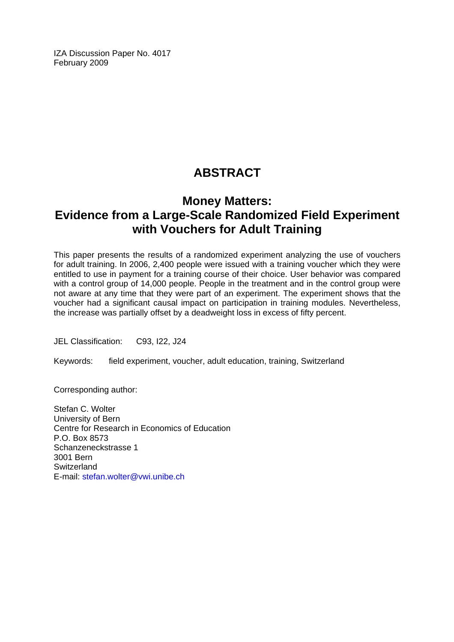IZA Discussion Paper No. 4017 February 2009

# **ABSTRACT**

# **Money Matters: Evidence from a Large-Scale Randomized Field Experiment with Vouchers for Adult Training**

This paper presents the results of a randomized experiment analyzing the use of vouchers for adult training. In 2006, 2,400 people were issued with a training voucher which they were entitled to use in payment for a training course of their choice. User behavior was compared with a control group of 14,000 people. People in the treatment and in the control group were not aware at any time that they were part of an experiment. The experiment shows that the voucher had a significant causal impact on participation in training modules. Nevertheless, the increase was partially offset by a deadweight loss in excess of fifty percent.

JEL Classification: C93, I22, J24

Keywords: field experiment, voucher, adult education, training, Switzerland

Corresponding author:

Stefan C. Wolter University of Bern Centre for Research in Economics of Education P.O. Box 8573 Schanzeneckstrasse 1 3001 Bern **Switzerland** E-mail: [stefan.wolter@vwi.unibe.ch](mailto:stefan.wolter@vwi.unibe.ch)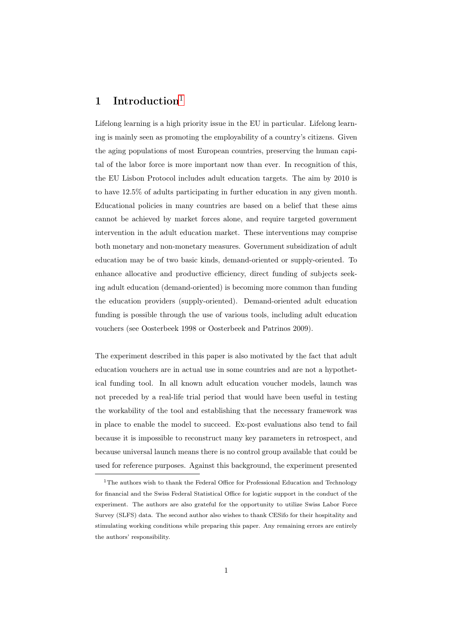## [1](#page-3-0) Introduction<sup>1</sup>

Lifelong learning is a high priority issue in the EU in particular. Lifelong learning is mainly seen as promoting the employability of a country's citizens. Given the aging populations of most European countries, preserving the human capital of the labor force is more important now than ever. In recognition of this, the EU Lisbon Protocol includes adult education targets. The aim by 2010 is to have 12.5% of adults participating in further education in any given month. Educational policies in many countries are based on a belief that these aims cannot be achieved by market forces alone, and require targeted government intervention in the adult education market. These interventions may comprise both monetary and non-monetary measures. Government subsidization of adult education may be of two basic kinds, demand-oriented or supply-oriented. To enhance allocative and productive efficiency, direct funding of subjects seeking adult education (demand-oriented) is becoming more common than funding the education providers (supply-oriented). Demand-oriented adult education funding is possible through the use of various tools, including adult education vouchers (see Oosterbeek 1998 or Oosterbeek and Patrinos 2009).

The experiment described in this paper is also motivated by the fact that adult education vouchers are in actual use in some countries and are not a hypothetical funding tool. In all known adult education voucher models, launch was not preceded by a real-life trial period that would have been useful in testing the workability of the tool and establishing that the necessary framework was in place to enable the model to succeed. Ex-post evaluations also tend to fail because it is impossible to reconstruct many key parameters in retrospect, and because universal launch means there is no control group available that could be used for reference purposes. Against this background, the experiment presented

<span id="page-3-0"></span> $^{\rm 1}{\rm The}$  authors wish to thank the Federal Office for Professional Education and Technology for financial and the Swiss Federal Statistical Office for logistic support in the conduct of the experiment. The authors are also grateful for the opportunity to utilize Swiss Labor Force Survey (SLFS) data. The second author also wishes to thank CESifo for their hospitality and stimulating working conditions while preparing this paper. Any remaining errors are entirely the authors' responsibility.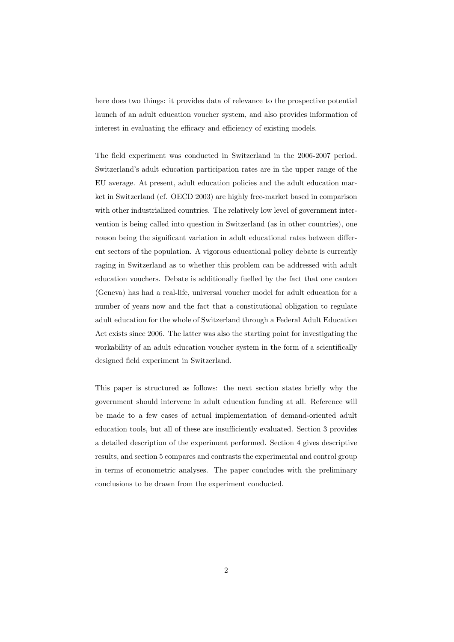here does two things: it provides data of relevance to the prospective potential launch of an adult education voucher system, and also provides information of interest in evaluating the efficacy and efficiency of existing models.

The field experiment was conducted in Switzerland in the 2006-2007 period. Switzerland's adult education participation rates are in the upper range of the EU average. At present, adult education policies and the adult education market in Switzerland (cf. OECD 2003) are highly free-market based in comparison with other industrialized countries. The relatively low level of government intervention is being called into question in Switzerland (as in other countries), one reason being the significant variation in adult educational rates between different sectors of the population. A vigorous educational policy debate is currently raging in Switzerland as to whether this problem can be addressed with adult education vouchers. Debate is additionally fuelled by the fact that one canton (Geneva) has had a real-life, universal voucher model for adult education for a number of years now and the fact that a constitutional obligation to regulate adult education for the whole of Switzerland through a Federal Adult Education Act exists since 2006. The latter was also the starting point for investigating the workability of an adult education voucher system in the form of a scientifically designed field experiment in Switzerland.

This paper is structured as follows: the next section states briefly why the government should intervene in adult education funding at all. Reference will be made to a few cases of actual implementation of demand-oriented adult education tools, but all of these are insufficiently evaluated. Section 3 provides a detailed description of the experiment performed. Section 4 gives descriptive results, and section 5 compares and contrasts the experimental and control group in terms of econometric analyses. The paper concludes with the preliminary conclusions to be drawn from the experiment conducted.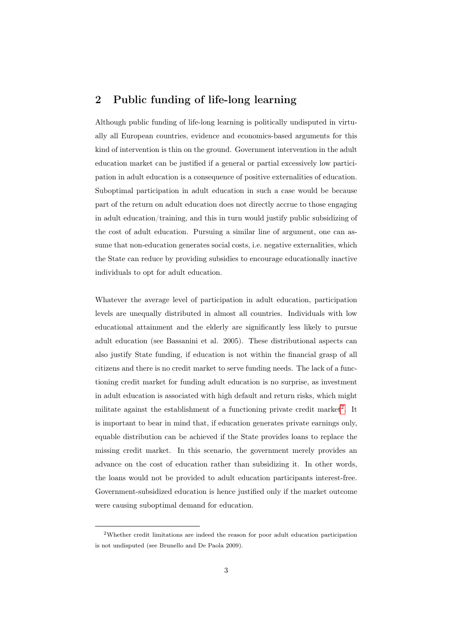### 2 Public funding of life-long learning

Although public funding of life-long learning is politically undisputed in virtually all European countries, evidence and economics-based arguments for this kind of intervention is thin on the ground. Government intervention in the adult education market can be justified if a general or partial excessively low participation in adult education is a consequence of positive externalities of education. Suboptimal participation in adult education in such a case would be because part of the return on adult education does not directly accrue to those engaging in adult education/training, and this in turn would justify public subsidizing of the cost of adult education. Pursuing a similar line of argument, one can assume that non-education generates social costs, i.e. negative externalities, which the State can reduce by providing subsidies to encourage educationally inactive individuals to opt for adult education.

Whatever the average level of participation in adult education, participation levels are unequally distributed in almost all countries. Individuals with low educational attainment and the elderly are significantly less likely to pursue adult education (see Bassanini et al. 2005). These distributional aspects can also justify State funding, if education is not within the financial grasp of all citizens and there is no credit market to serve funding needs. The lack of a functioning credit market for funding adult education is no surprise, as investment in adult education is associated with high default and return risks, which might militate against the establishment of a functioning private credit market<sup>[2](#page-5-0)</sup>. It is important to bear in mind that, if education generates private earnings only, equable distribution can be achieved if the State provides loans to replace the missing credit market. In this scenario, the government merely provides an advance on the cost of education rather than subsidizing it. In other words, the loans would not be provided to adult education participants interest-free. Government-subsidized education is hence justified only if the market outcome were causing suboptimal demand for education.

<span id="page-5-0"></span><sup>2</sup>Whether credit limitations are indeed the reason for poor adult education participation is not undisputed (see Brunello and De Paola 2009).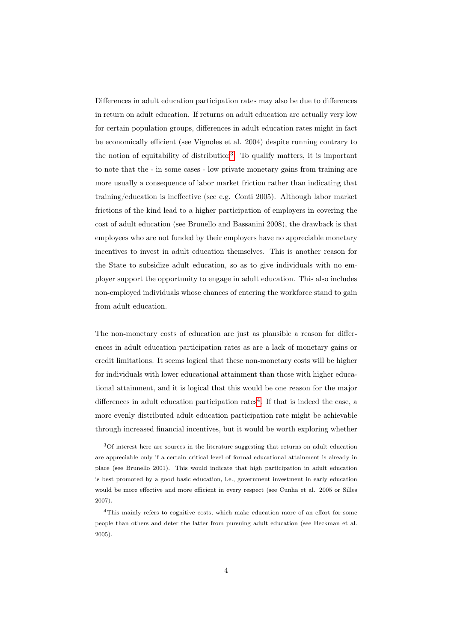Differences in adult education participation rates may also be due to differences in return on adult education. If returns on adult education are actually very low for certain population groups, differences in adult education rates might in fact be economically efficient (see Vignoles et al. 2004) despite running contrary to the notion of equitability of distribution<sup>[3](#page-6-0)</sup>. To qualify matters, it is important to note that the - in some cases - low private monetary gains from training are more usually a consequence of labor market friction rather than indicating that training/education is ineffective (see e.g. Conti 2005). Although labor market frictions of the kind lead to a higher participation of employers in covering the cost of adult education (see Brunello and Bassanini 2008), the drawback is that employees who are not funded by their employers have no appreciable monetary incentives to invest in adult education themselves. This is another reason for the State to subsidize adult education, so as to give individuals with no employer support the opportunity to engage in adult education. This also includes non-employed individuals whose chances of entering the workforce stand to gain from adult education.

The non-monetary costs of education are just as plausible a reason for differences in adult education participation rates as are a lack of monetary gains or credit limitations. It seems logical that these non-monetary costs will be higher for individuals with lower educational attainment than those with higher educational attainment, and it is logical that this would be one reason for the major differences in adult education participation rates<sup>[4](#page-6-1)</sup>. If that is indeed the case, a more evenly distributed adult education participation rate might be achievable through increased financial incentives, but it would be worth exploring whether

<span id="page-6-0"></span><sup>3</sup>Of interest here are sources in the literature suggesting that returns on adult education are appreciable only if a certain critical level of formal educational attainment is already in place (see Brunello 2001). This would indicate that high participation in adult education is best promoted by a good basic education, i.e., government investment in early education would be more effective and more efficient in every respect (see Cunha et al. 2005 or Silles 2007).

<span id="page-6-1"></span><sup>4</sup>This mainly refers to cognitive costs, which make education more of an effort for some people than others and deter the latter from pursuing adult education (see Heckman et al. 2005).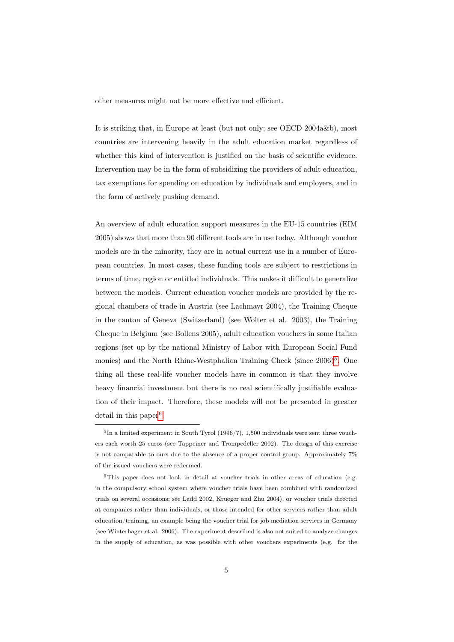other measures might not be more effective and efficient.

It is striking that, in Europe at least (but not only; see OECD 2004a&b), most countries are intervening heavily in the adult education market regardless of whether this kind of intervention is justified on the basis of scientific evidence. Intervention may be in the form of subsidizing the providers of adult education, tax exemptions for spending on education by individuals and employers, and in the form of actively pushing demand.

An overview of adult education support measures in the EU-15 countries (EIM 2005) shows that more than 90 different tools are in use today. Although voucher models are in the minority, they are in actual current use in a number of European countries. In most cases, these funding tools are subject to restrictions in terms of time, region or entitled individuals. This makes it difficult to generalize between the models. Current education voucher models are provided by the regional chambers of trade in Austria (see Lachmayr 2004), the Training Cheque in the canton of Geneva (Switzerland) (see Wolter et al. 2003), the Training Cheque in Belgium (see Bollens 2005), adult education vouchers in some Italian regions (set up by the national Ministry of Labor with European Social Fund monies) and the North Rhine-Westphalian Training Check (since 2006)<sup>[5](#page-7-0)</sup>. One thing all these real-life voucher models have in common is that they involve heavy financial investment but there is no real scientifically justifiable evaluation of their impact. Therefore, these models will not be presented in greater detail in this paper<sup>[6](#page-7-1)</sup>.

<span id="page-7-0"></span> ${}^{5}$ In a limited experiment in South Tyrol (1996/7), 1,500 individuals were sent three vouchers each worth 25 euros (see Tappeiner and Trompedeller 2002). The design of this exercise is not comparable to ours due to the absence of a proper control group. Approximately 7% of the issued vouchers were redeemed.

<span id="page-7-1"></span> $6$ This paper does not look in detail at voucher trials in other areas of education (e.g. in the compulsory school system where voucher trials have been combined with randomized trials on several occasions; see Ladd 2002, Krueger and Zhu 2004), or voucher trials directed at companies rather than individuals, or those intended for other services rather than adult education/training, an example being the voucher trial for job mediation services in Germany (see Winterhager et al. 2006). The experiment described is also not suited to analyze changes in the supply of education, as was possible with other vouchers experiments (e.g. for the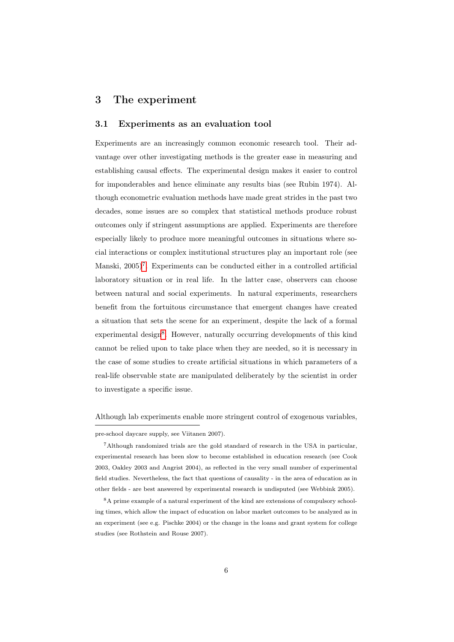### 3 The experiment

#### 3.1 Experiments as an evaluation tool

Experiments are an increasingly common economic research tool. Their advantage over other investigating methods is the greater ease in measuring and establishing causal effects. The experimental design makes it easier to control for imponderables and hence eliminate any results bias (see Rubin 1974). Although econometric evaluation methods have made great strides in the past two decades, some issues are so complex that statistical methods produce robust outcomes only if stringent assumptions are applied. Experiments are therefore especially likely to produce more meaningful outcomes in situations where social interactions or complex institutional structures play an important role (see Manski, 2005)<sup>[7](#page-8-0)</sup>. Experiments can be conducted either in a controlled artificial laboratory situation or in real life. In the latter case, observers can choose between natural and social experiments. In natural experiments, researchers benefit from the fortuitous circumstance that emergent changes have created a situation that sets the scene for an experiment, despite the lack of a formal experimental design<sup>[8](#page-8-1)</sup>. However, naturally occurring developments of this kind cannot be relied upon to take place when they are needed, so it is necessary in the case of some studies to create artificial situations in which parameters of a real-life observable state are manipulated deliberately by the scientist in order to investigate a specific issue.

Although lab experiments enable more stringent control of exogenous variables,

<span id="page-8-0"></span>pre-school daycare supply, see Viitanen 2007).

<sup>7</sup>Although randomized trials are the gold standard of research in the USA in particular, experimental research has been slow to become established in education research (see Cook 2003, Oakley 2003 and Angrist 2004), as reflected in the very small number of experimental field studies. Nevertheless, the fact that questions of causality - in the area of education as in other fields - are best answered by experimental research is undisputed (see Webbink 2005).

<span id="page-8-1"></span><sup>8</sup>A prime example of a natural experiment of the kind are extensions of compulsory schooling times, which allow the impact of education on labor market outcomes to be analyzed as in an experiment (see e.g. Pischke 2004) or the change in the loans and grant system for college studies (see Rothstein and Rouse 2007).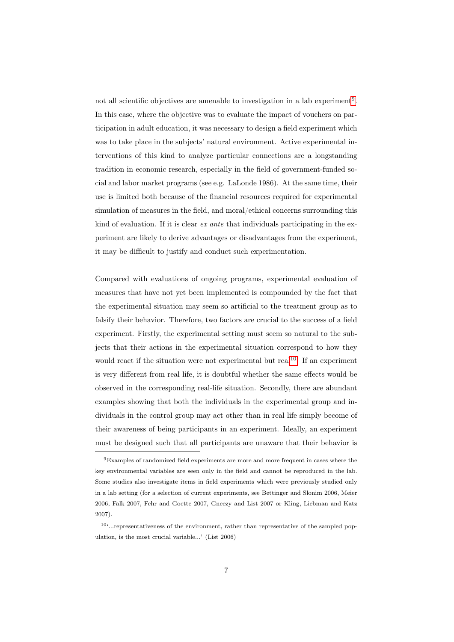not all scientific objectives are amenable to investigation in a lab experiment<sup>[9](#page-9-0)</sup>. In this case, where the objective was to evaluate the impact of vouchers on participation in adult education, it was necessary to design a field experiment which was to take place in the subjects' natural environment. Active experimental interventions of this kind to analyze particular connections are a longstanding tradition in economic research, especially in the field of government-funded social and labor market programs (see e.g. LaLonde 1986). At the same time, their use is limited both because of the financial resources required for experimental simulation of measures in the field, and moral/ethical concerns surrounding this kind of evaluation. If it is clear  $ex$  ante that individuals participating in the experiment are likely to derive advantages or disadvantages from the experiment, it may be difficult to justify and conduct such experimentation.

Compared with evaluations of ongoing programs, experimental evaluation of measures that have not yet been implemented is compounded by the fact that the experimental situation may seem so artificial to the treatment group as to falsify their behavior. Therefore, two factors are crucial to the success of a field experiment. Firstly, the experimental setting must seem so natural to the subjects that their actions in the experimental situation correspond to how they would react if the situation were not experimental but real<sup>[10](#page-9-1)</sup>. If an experiment is very different from real life, it is doubtful whether the same effects would be observed in the corresponding real-life situation. Secondly, there are abundant examples showing that both the individuals in the experimental group and individuals in the control group may act other than in real life simply become of their awareness of being participants in an experiment. Ideally, an experiment must be designed such that all participants are unaware that their behavior is

<span id="page-9-0"></span><sup>9</sup>Examples of randomized field experiments are more and more frequent in cases where the key environmental variables are seen only in the field and cannot be reproduced in the lab. Some studies also investigate items in field experiments which were previously studied only in a lab setting (for a selection of current experiments, see Bettinger and Slonim 2006, Meier 2006, Falk 2007, Fehr and Goette 2007, Gneezy and List 2007 or Kling, Liebman and Katz 2007).

<span id="page-9-1"></span> $10^{\circ}$ ...representativeness of the environment, rather than representative of the sampled population, is the most crucial variable...' (List 2006)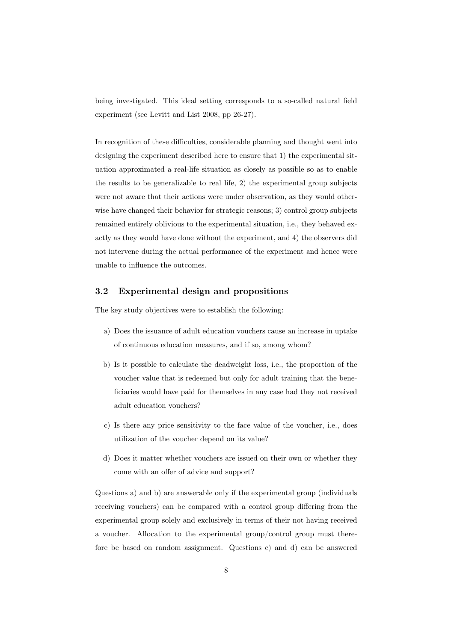being investigated. This ideal setting corresponds to a so-called natural field experiment (see Levitt and List 2008, pp 26-27).

In recognition of these difficulties, considerable planning and thought went into designing the experiment described here to ensure that 1) the experimental situation approximated a real-life situation as closely as possible so as to enable the results to be generalizable to real life, 2) the experimental group subjects were not aware that their actions were under observation, as they would otherwise have changed their behavior for strategic reasons; 3) control group subjects remained entirely oblivious to the experimental situation, i.e., they behaved exactly as they would have done without the experiment, and 4) the observers did not intervene during the actual performance of the experiment and hence were unable to influence the outcomes.

#### 3.2 Experimental design and propositions

The key study objectives were to establish the following:

- a) Does the issuance of adult education vouchers cause an increase in uptake of continuous education measures, and if so, among whom?
- b) Is it possible to calculate the deadweight loss, i.e., the proportion of the voucher value that is redeemed but only for adult training that the beneficiaries would have paid for themselves in any case had they not received adult education vouchers?
- c) Is there any price sensitivity to the face value of the voucher, i.e., does utilization of the voucher depend on its value?
- d) Does it matter whether vouchers are issued on their own or whether they come with an offer of advice and support?

Questions a) and b) are answerable only if the experimental group (individuals receiving vouchers) can be compared with a control group differing from the experimental group solely and exclusively in terms of their not having received a voucher. Allocation to the experimental group/control group must therefore be based on random assignment. Questions c) and d) can be answered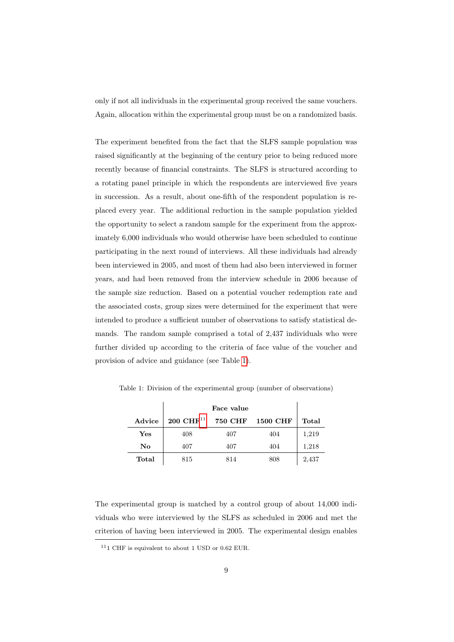only if not all individuals in the experimental group received the same vouchers. Again, allocation within the experimental group must be on a randomized basis.

The experiment benefited from the fact that the SLFS sample population was raised significantly at the beginning of the century prior to being reduced more recently because of financial constraints. The SLFS is structured according to a rotating panel principle in which the respondents are interviewed five years in succession. As a result, about one-fifth of the respondent population is replaced every year. The additional reduction in the sample population yielded the opportunity to select a random sample for the experiment from the approximately 6,000 individuals who would otherwise have been scheduled to continue participating in the next round of interviews. All these individuals had already been interviewed in 2005, and most of them had also been interviewed in former years, and had been removed from the interview schedule in 2006 because of the sample size reduction. Based on a potential voucher redemption rate and the associated costs, group sizes were determined for the experiment that were intended to produce a sufficient number of observations to satisfy statistical demands. The random sample comprised a total of 2,437 individuals who were further divided up according to the criteria of face value of the voucher and provision of advice and guidance (see Table [1\)](#page-11-0).

| Advice | $200 \text{ CHF}^{11}$ | <b>750 CHF</b> | <b>1500 CHF</b> | Total |
|--------|------------------------|----------------|-----------------|-------|
| Yes    | 408                    | 407            | 404             | 1,219 |
| No     | 407                    | 407            | 404             | 1,218 |
| Total  | 815                    | 814            | 808             | 2,437 |

<span id="page-11-0"></span>Table 1: Division of the experimental group (number of observations)

The experimental group is matched by a control group of about 14,000 individuals who were interviewed by the SLFS as scheduled in 2006 and met the criterion of having been interviewed in 2005. The experimental design enables

<span id="page-11-1"></span> $11$ <sub>1</sub> CHF is equivalent to about 1 USD or 0.62 EUR.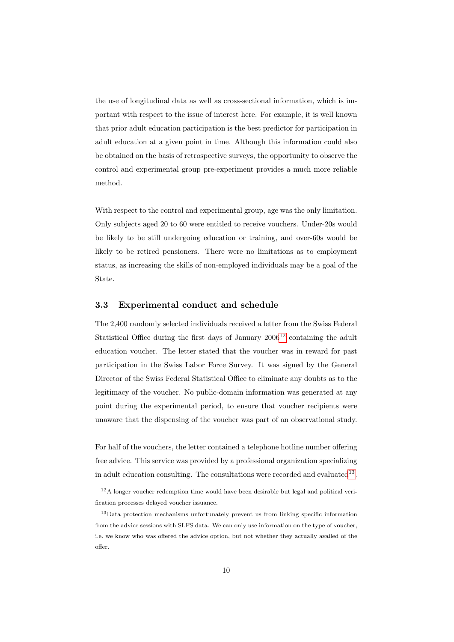the use of longitudinal data as well as cross-sectional information, which is important with respect to the issue of interest here. For example, it is well known that prior adult education participation is the best predictor for participation in adult education at a given point in time. Although this information could also be obtained on the basis of retrospective surveys, the opportunity to observe the control and experimental group pre-experiment provides a much more reliable method.

With respect to the control and experimental group, age was the only limitation. Only subjects aged 20 to 60 were entitled to receive vouchers. Under-20s would be likely to be still undergoing education or training, and over-60s would be likely to be retired pensioners. There were no limitations as to employment status, as increasing the skills of non-employed individuals may be a goal of the State.

#### 3.3 Experimental conduct and schedule

The 2,400 randomly selected individuals received a letter from the Swiss Federal Statistical Office during the first days of January  $2006^{12}$  $2006^{12}$  $2006^{12}$  containing the adult education voucher. The letter stated that the voucher was in reward for past participation in the Swiss Labor Force Survey. It was signed by the General Director of the Swiss Federal Statistical Office to eliminate any doubts as to the legitimacy of the voucher. No public-domain information was generated at any point during the experimental period, to ensure that voucher recipients were unaware that the dispensing of the voucher was part of an observational study.

For half of the vouchers, the letter contained a telephone hotline number offering free advice. This service was provided by a professional organization specializing in adult education consulting. The consultations were recorded and evaluated<sup>[13](#page-12-1)</sup>.

<span id="page-12-0"></span><sup>&</sup>lt;sup>12</sup>A longer voucher redemption time would have been desirable but legal and political verification processes delayed voucher issuance.

<span id="page-12-1"></span><sup>13</sup>Data protection mechanisms unfortunately prevent us from linking specific information from the advice sessions with SLFS data. We can only use information on the type of voucher, i.e. we know who was offered the advice option, but not whether they actually availed of the offer.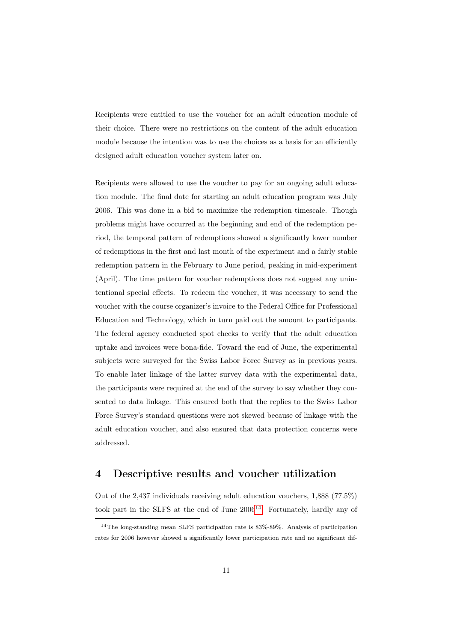Recipients were entitled to use the voucher for an adult education module of their choice. There were no restrictions on the content of the adult education module because the intention was to use the choices as a basis for an efficiently designed adult education voucher system later on.

Recipients were allowed to use the voucher to pay for an ongoing adult education module. The final date for starting an adult education program was July 2006. This was done in a bid to maximize the redemption timescale. Though problems might have occurred at the beginning and end of the redemption period, the temporal pattern of redemptions showed a significantly lower number of redemptions in the first and last month of the experiment and a fairly stable redemption pattern in the February to June period, peaking in mid-experiment (April). The time pattern for voucher redemptions does not suggest any unintentional special effects. To redeem the voucher, it was necessary to send the voucher with the course organizer's invoice to the Federal Office for Professional Education and Technology, which in turn paid out the amount to participants. The federal agency conducted spot checks to verify that the adult education uptake and invoices were bona-fide. Toward the end of June, the experimental subjects were surveyed for the Swiss Labor Force Survey as in previous years. To enable later linkage of the latter survey data with the experimental data, the participants were required at the end of the survey to say whether they consented to data linkage. This ensured both that the replies to the Swiss Labor Force Survey's standard questions were not skewed because of linkage with the adult education voucher, and also ensured that data protection concerns were addressed.

### 4 Descriptive results and voucher utilization

Out of the 2,437 individuals receiving adult education vouchers, 1,888 (77.5%) took part in the SLFS at the end of June  $2006^{14}$  $2006^{14}$  $2006^{14}$ . Fortunately, hardly any of

<span id="page-13-0"></span><sup>14</sup>The long-standing mean SLFS participation rate is 83%-89%. Analysis of participation rates for 2006 however showed a significantly lower participation rate and no significant dif-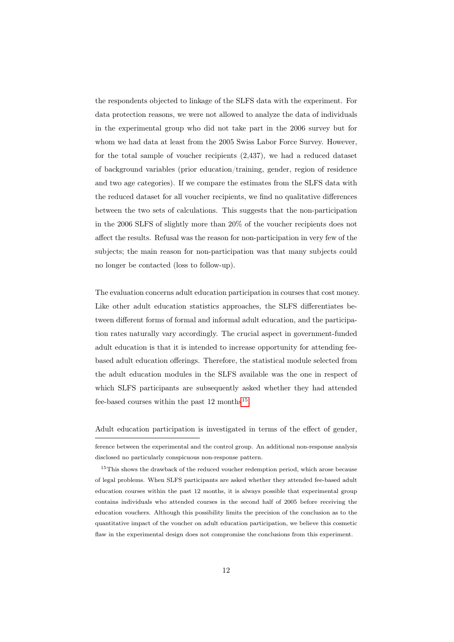the respondents objected to linkage of the SLFS data with the experiment. For data protection reasons, we were not allowed to analyze the data of individuals in the experimental group who did not take part in the 2006 survey but for whom we had data at least from the 2005 Swiss Labor Force Survey. However, for the total sample of voucher recipients (2,437), we had a reduced dataset of background variables (prior education/training, gender, region of residence and two age categories). If we compare the estimates from the SLFS data with the reduced dataset for all voucher recipients, we find no qualitative differences between the two sets of calculations. This suggests that the non-participation in the 2006 SLFS of slightly more than 20% of the voucher recipients does not affect the results. Refusal was the reason for non-participation in very few of the subjects; the main reason for non-participation was that many subjects could no longer be contacted (loss to follow-up).

The evaluation concerns adult education participation in courses that cost money. Like other adult education statistics approaches, the SLFS differentiates between different forms of formal and informal adult education, and the participation rates naturally vary accordingly. The crucial aspect in government-funded adult education is that it is intended to increase opportunity for attending feebased adult education offerings. Therefore, the statistical module selected from the adult education modules in the SLFS available was the one in respect of which SLFS participants are subsequently asked whether they had attended fee-based courses within the past  $12$  months<sup>[15](#page-14-0)</sup>.

#### Adult education participation is investigated in terms of the effect of gender,

ference between the experimental and the control group. An additional non-response analysis disclosed no particularly conspicuous non-response pattern.

<span id="page-14-0"></span> $^{15}\mathrm{This}$  shows the drawback of the reduced voucher redemption period, which arose because of legal problems. When SLFS participants are asked whether they attended fee-based adult education courses within the past 12 months, it is always possible that experimental group contains individuals who attended courses in the second half of 2005 before receiving the education vouchers. Although this possibility limits the precision of the conclusion as to the quantitative impact of the voucher on adult education participation, we believe this cosmetic flaw in the experimental design does not compromise the conclusions from this experiment.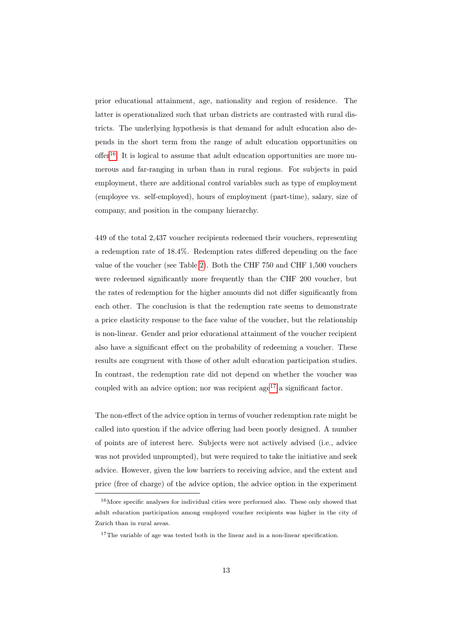prior educational attainment, age, nationality and region of residence. The latter is operationalized such that urban districts are contrasted with rural districts. The underlying hypothesis is that demand for adult education also depends in the short term from the range of adult education opportunities on offer<sup>[16](#page-15-0)</sup>. It is logical to assume that adult education opportunities are more numerous and far-ranging in urban than in rural regions. For subjects in paid employment, there are additional control variables such as type of employment (employee vs. self-employed), hours of employment (part-time), salary, size of company, and position in the company hierarchy.

449 of the total 2,437 voucher recipients redeemed their vouchers, representing a redemption rate of 18.4%. Redemption rates differed depending on the face value of the voucher (see Table [2\)](#page-27-0). Both the CHF 750 and CHF 1,500 vouchers were redeemed significantly more frequently than the CHF 200 voucher, but the rates of redemption for the higher amounts did not differ significantly from each other. The conclusion is that the redemption rate seems to demonstrate a price elasticity response to the face value of the voucher, but the relationship is non-linear. Gender and prior educational attainment of the voucher recipient also have a significant effect on the probability of redeeming a voucher. These results are congruent with those of other adult education participation studies. In contrast, the redemption rate did not depend on whether the voucher was coupled with an advice option; nor was recipient age<sup>[17](#page-15-1)</sup> a significant factor.

The non-effect of the advice option in terms of voucher redemption rate might be called into question if the advice offering had been poorly designed. A number of points are of interest here. Subjects were not actively advised (i.e., advice was not provided unprompted), but were required to take the initiative and seek advice. However, given the low barriers to receiving advice, and the extent and price (free of charge) of the advice option, the advice option in the experiment

<span id="page-15-0"></span><sup>16</sup>More specific analyses for individual cities were performed also. These only showed that adult education participation among employed voucher recipients was higher in the city of Zurich than in rural areas.

<span id="page-15-1"></span><sup>&</sup>lt;sup>17</sup>The variable of age was tested both in the linear and in a non-linear specification.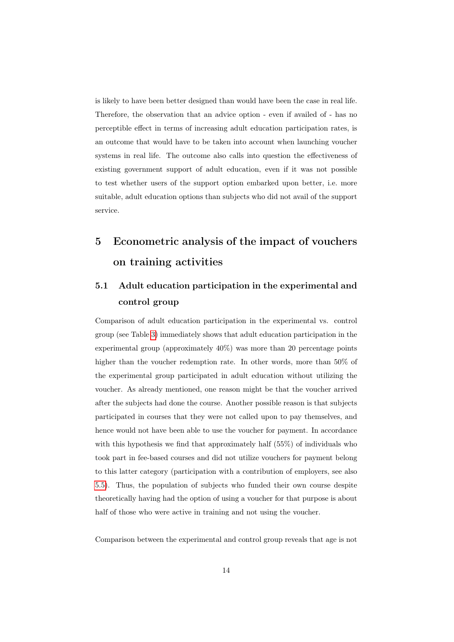is likely to have been better designed than would have been the case in real life. Therefore, the observation that an advice option - even if availed of - has no perceptible effect in terms of increasing adult education participation rates, is an outcome that would have to be taken into account when launching voucher systems in real life. The outcome also calls into question the effectiveness of existing government support of adult education, even if it was not possible to test whether users of the support option embarked upon better, i.e. more suitable, adult education options than subjects who did not avail of the support service.

# 5 Econometric analysis of the impact of vouchers on training activities

# 5.1 Adult education participation in the experimental and control group

Comparison of adult education participation in the experimental vs. control group (see Table [3\)](#page-28-0) immediately shows that adult education participation in the experimental group (approximately 40%) was more than 20 percentage points higher than the voucher redemption rate. In other words, more than 50% of the experimental group participated in adult education without utilizing the voucher. As already mentioned, one reason might be that the voucher arrived after the subjects had done the course. Another possible reason is that subjects participated in courses that they were not called upon to pay themselves, and hence would not have been able to use the voucher for payment. In accordance with this hypothesis we find that approximately half (55%) of individuals who took part in fee-based courses and did not utilize vouchers for payment belong to this latter category (participation with a contribution of employers, see also [5.5\)](#page-20-0). Thus, the population of subjects who funded their own course despite theoretically having had the option of using a voucher for that purpose is about half of those who were active in training and not using the voucher.

Comparison between the experimental and control group reveals that age is not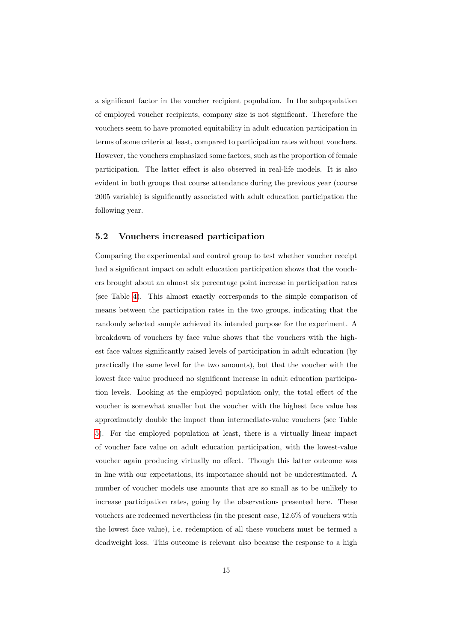a significant factor in the voucher recipient population. In the subpopulation of employed voucher recipients, company size is not significant. Therefore the vouchers seem to have promoted equitability in adult education participation in terms of some criteria at least, compared to participation rates without vouchers. However, the vouchers emphasized some factors, such as the proportion of female participation. The latter effect is also observed in real-life models. It is also evident in both groups that course attendance during the previous year (course 2005 variable) is significantly associated with adult education participation the following year.

#### 5.2 Vouchers increased participation

Comparing the experimental and control group to test whether voucher receipt had a significant impact on adult education participation shows that the vouchers brought about an almost six percentage point increase in participation rates (see Table [4\)](#page-29-0). This almost exactly corresponds to the simple comparison of means between the participation rates in the two groups, indicating that the randomly selected sample achieved its intended purpose for the experiment. A breakdown of vouchers by face value shows that the vouchers with the highest face values significantly raised levels of participation in adult education (by practically the same level for the two amounts), but that the voucher with the lowest face value produced no significant increase in adult education participation levels. Looking at the employed population only, the total effect of the voucher is somewhat smaller but the voucher with the highest face value has approximately double the impact than intermediate-value vouchers (see Table [5\)](#page-30-0). For the employed population at least, there is a virtually linear impact of voucher face value on adult education participation, with the lowest-value voucher again producing virtually no effect. Though this latter outcome was in line with our expectations, its importance should not be underestimated. A number of voucher models use amounts that are so small as to be unlikely to increase participation rates, going by the observations presented here. These vouchers are redeemed nevertheless (in the present case, 12.6% of vouchers with the lowest face value), i.e. redemption of all these vouchers must be termed a deadweight loss. This outcome is relevant also because the response to a high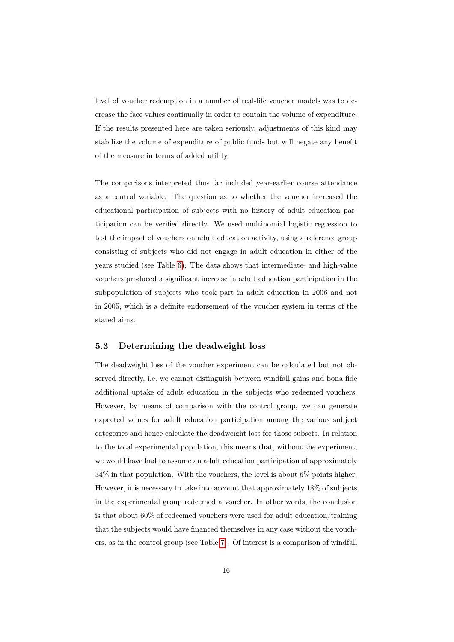level of voucher redemption in a number of real-life voucher models was to decrease the face values continually in order to contain the volume of expenditure. If the results presented here are taken seriously, adjustments of this kind may stabilize the volume of expenditure of public funds but will negate any benefit of the measure in terms of added utility.

The comparisons interpreted thus far included year-earlier course attendance as a control variable. The question as to whether the voucher increased the educational participation of subjects with no history of adult education participation can be verified directly. We used multinomial logistic regression to test the impact of vouchers on adult education activity, using a reference group consisting of subjects who did not engage in adult education in either of the years studied (see Table [6\)](#page-31-0). The data shows that intermediate- and high-value vouchers produced a significant increase in adult education participation in the subpopulation of subjects who took part in adult education in 2006 and not in 2005, which is a definite endorsement of the voucher system in terms of the stated aims.

#### 5.3 Determining the deadweight loss

The deadweight loss of the voucher experiment can be calculated but not observed directly, i.e. we cannot distinguish between windfall gains and bona fide additional uptake of adult education in the subjects who redeemed vouchers. However, by means of comparison with the control group, we can generate expected values for adult education participation among the various subject categories and hence calculate the deadweight loss for those subsets. In relation to the total experimental population, this means that, without the experiment, we would have had to assume an adult education participation of approximately 34% in that population. With the vouchers, the level is about 6% points higher. However, it is necessary to take into account that approximately 18% of subjects in the experimental group redeemed a voucher. In other words, the conclusion is that about 60% of redeemed vouchers were used for adult education/training that the subjects would have financed themselves in any case without the vouchers, as in the control group (see Table [7\)](#page-32-0). Of interest is a comparison of windfall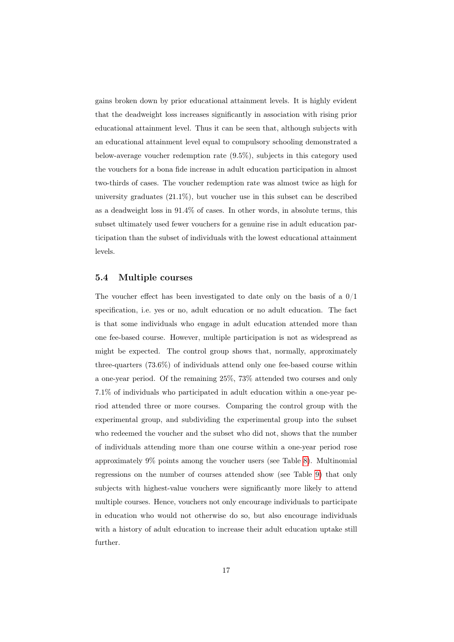gains broken down by prior educational attainment levels. It is highly evident that the deadweight loss increases significantly in association with rising prior educational attainment level. Thus it can be seen that, although subjects with an educational attainment level equal to compulsory schooling demonstrated a below-average voucher redemption rate (9.5%), subjects in this category used the vouchers for a bona fide increase in adult education participation in almost two-thirds of cases. The voucher redemption rate was almost twice as high for university graduates  $(21.1\%)$ , but voucher use in this subset can be described as a deadweight loss in 91.4% of cases. In other words, in absolute terms, this subset ultimately used fewer vouchers for a genuine rise in adult education participation than the subset of individuals with the lowest educational attainment levels.

#### 5.4 Multiple courses

The voucher effect has been investigated to date only on the basis of a 0/1 specification, i.e. yes or no, adult education or no adult education. The fact is that some individuals who engage in adult education attended more than one fee-based course. However, multiple participation is not as widespread as might be expected. The control group shows that, normally, approximately three-quarters (73.6%) of individuals attend only one fee-based course within a one-year period. Of the remaining 25%, 73% attended two courses and only 7.1% of individuals who participated in adult education within a one-year period attended three or more courses. Comparing the control group with the experimental group, and subdividing the experimental group into the subset who redeemed the voucher and the subset who did not, shows that the number of individuals attending more than one course within a one-year period rose approximately 9% points among the voucher users (see Table [8\)](#page-32-1). Multinomial regressions on the number of courses attended show (see Table [9\)](#page-33-0) that only subjects with highest-value vouchers were significantly more likely to attend multiple courses. Hence, vouchers not only encourage individuals to participate in education who would not otherwise do so, but also encourage individuals with a history of adult education to increase their adult education uptake still further.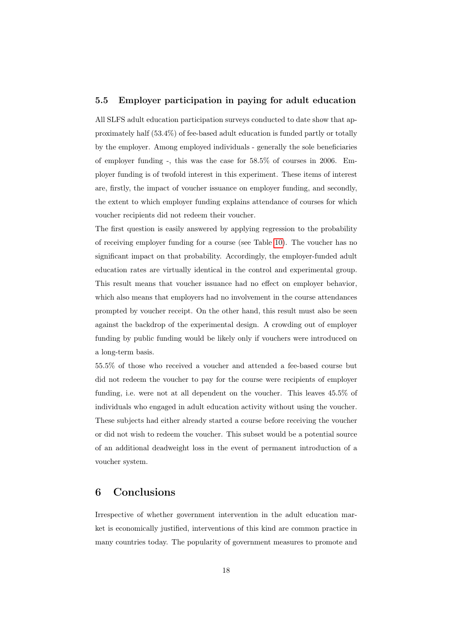#### <span id="page-20-0"></span>5.5 Employer participation in paying for adult education

All SLFS adult education participation surveys conducted to date show that approximately half (53.4%) of fee-based adult education is funded partly or totally by the employer. Among employed individuals - generally the sole beneficiaries of employer funding -, this was the case for 58.5% of courses in 2006. Employer funding is of twofold interest in this experiment. These items of interest are, firstly, the impact of voucher issuance on employer funding, and secondly, the extent to which employer funding explains attendance of courses for which voucher recipients did not redeem their voucher.

The first question is easily answered by applying regression to the probability of receiving employer funding for a course (see Table [10\)](#page-34-0). The voucher has no significant impact on that probability. Accordingly, the employer-funded adult education rates are virtually identical in the control and experimental group. This result means that voucher issuance had no effect on employer behavior, which also means that employers had no involvement in the course attendances prompted by voucher receipt. On the other hand, this result must also be seen against the backdrop of the experimental design. A crowding out of employer funding by public funding would be likely only if vouchers were introduced on a long-term basis.

55.5% of those who received a voucher and attended a fee-based course but did not redeem the voucher to pay for the course were recipients of employer funding, i.e. were not at all dependent on the voucher. This leaves 45.5% of individuals who engaged in adult education activity without using the voucher. These subjects had either already started a course before receiving the voucher or did not wish to redeem the voucher. This subset would be a potential source of an additional deadweight loss in the event of permanent introduction of a voucher system.

### 6 Conclusions

Irrespective of whether government intervention in the adult education market is economically justified, interventions of this kind are common practice in many countries today. The popularity of government measures to promote and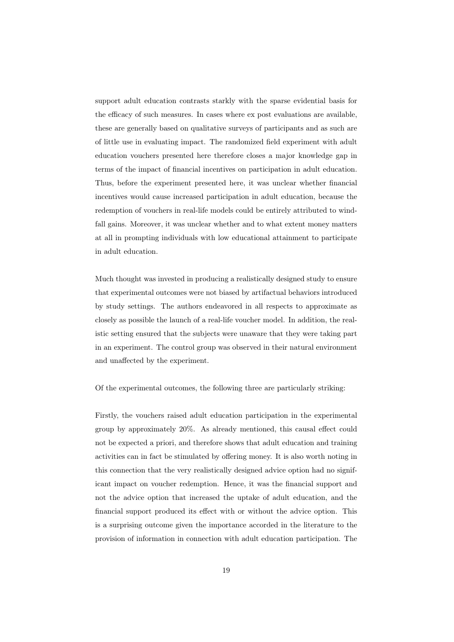support adult education contrasts starkly with the sparse evidential basis for the efficacy of such measures. In cases where ex post evaluations are available, these are generally based on qualitative surveys of participants and as such are of little use in evaluating impact. The randomized field experiment with adult education vouchers presented here therefore closes a major knowledge gap in terms of the impact of financial incentives on participation in adult education. Thus, before the experiment presented here, it was unclear whether financial incentives would cause increased participation in adult education, because the redemption of vouchers in real-life models could be entirely attributed to windfall gains. Moreover, it was unclear whether and to what extent money matters at all in prompting individuals with low educational attainment to participate in adult education.

Much thought was invested in producing a realistically designed study to ensure that experimental outcomes were not biased by artifactual behaviors introduced by study settings. The authors endeavored in all respects to approximate as closely as possible the launch of a real-life voucher model. In addition, the realistic setting ensured that the subjects were unaware that they were taking part in an experiment. The control group was observed in their natural environment and unaffected by the experiment.

Of the experimental outcomes, the following three are particularly striking:

Firstly, the vouchers raised adult education participation in the experimental group by approximately 20%. As already mentioned, this causal effect could not be expected a priori, and therefore shows that adult education and training activities can in fact be stimulated by offering money. It is also worth noting in this connection that the very realistically designed advice option had no significant impact on voucher redemption. Hence, it was the financial support and not the advice option that increased the uptake of adult education, and the financial support produced its effect with or without the advice option. This is a surprising outcome given the importance accorded in the literature to the provision of information in connection with adult education participation. The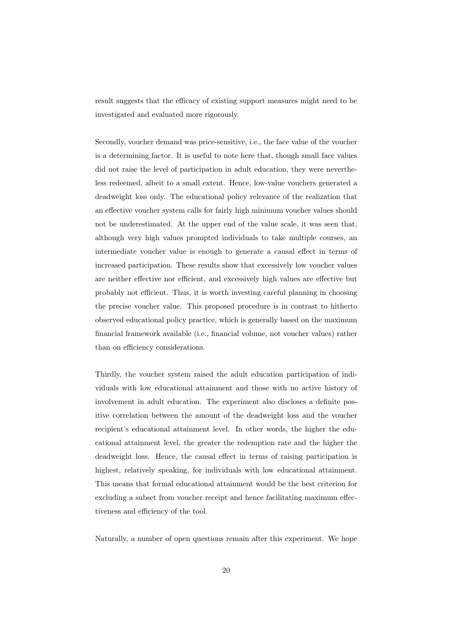result suggests that the efficacy of existing support measures might need to be investigated and evaluated more rigorously.

Secondly, voucher demand was price-sensitive, i.e., the face value of the voucher is a determining factor. It is useful to note here that, though small face values did not raise the level of participation in adult education, they were nevertheless redeemed, albeit to a small extent. Hence, low-value vouchers generated a deadweight loss only. The educational policy relevance of the realization that an effective voucher system calls for fairly high minimum voucher values should not be underestimated. At the upper end of the value scale, it was seen that, although very high values prompted individuals to take multiple courses, an intermediate voucher value is enough to generate a causal effect in terms of increased participation. These results show that excessively low voucher values are neither effective nor efficient, and excessively high values are effective but probably not efficient. Thus, it is worth investing careful planning in choosing the precise voucher value. This proposed procedure is in contrast to hitherto observed educational policy practice, which is generally based on the maximum financial framework available (i.e., financial volume, not voucher values) rather than on efficiency considerations.

Thirdly, the voucher system raised the adult education participation of individuals with low educational attainment and those with no active history of involvement in adult education. The experiment also discloses a definite positive correlation between the amount of the deadweight loss and the voucher recipient's educational attainment level. In other words, the higher the educational attainment level, the greater the redemption rate and the higher the deadweight loss. Hence, the causal effect in terms of raising participation is highest, relatively speaking, for individuals with low educational attainment. This means that formal educational attainment would be the best criterion for excluding a subset from voucher receipt and hence facilitating maximum effectiveness and efficiency of the tool.

Naturally, a number of open questions remain after this experiment. We hope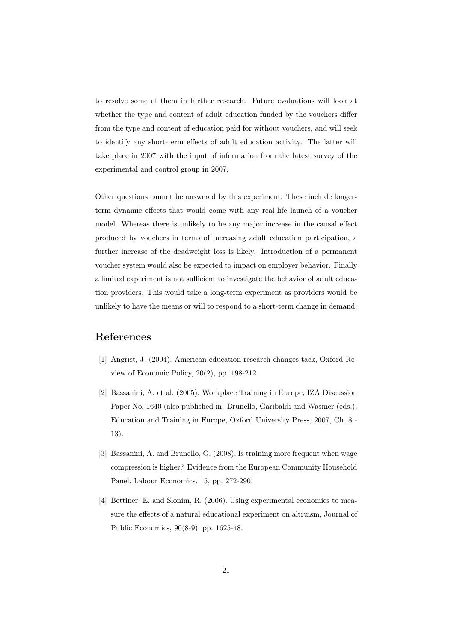to resolve some of them in further research. Future evaluations will look at whether the type and content of adult education funded by the vouchers differ from the type and content of education paid for without vouchers, and will seek to identify any short-term effects of adult education activity. The latter will take place in 2007 with the input of information from the latest survey of the experimental and control group in 2007.

Other questions cannot be answered by this experiment. These include longerterm dynamic effects that would come with any real-life launch of a voucher model. Whereas there is unlikely to be any major increase in the causal effect produced by vouchers in terms of increasing adult education participation, a further increase of the deadweight loss is likely. Introduction of a permanent voucher system would also be expected to impact on employer behavior. Finally a limited experiment is not sufficient to investigate the behavior of adult education providers. This would take a long-term experiment as providers would be unlikely to have the means or will to respond to a short-term change in demand.

### References

- [1] Angrist, J. (2004). American education research changes tack, Oxford Review of Economic Policy, 20(2), pp. 198-212.
- [2] Bassanini, A. et al. (2005). Workplace Training in Europe, IZA Discussion Paper No. 1640 (also published in: Brunello, Garibaldi and Wasmer (eds.), Education and Training in Europe, Oxford University Press, 2007, Ch. 8 - 13).
- [3] Bassanini, A. and Brunello, G. (2008). Is training more frequent when wage compression is higher? Evidence from the European Community Household Panel, Labour Economics, 15, pp. 272-290.
- [4] Bettiner, E. and Slonim, R. (2006). Using experimental economics to measure the effects of a natural educational experiment on altruism, Journal of Public Economics, 90(8-9). pp. 1625-48.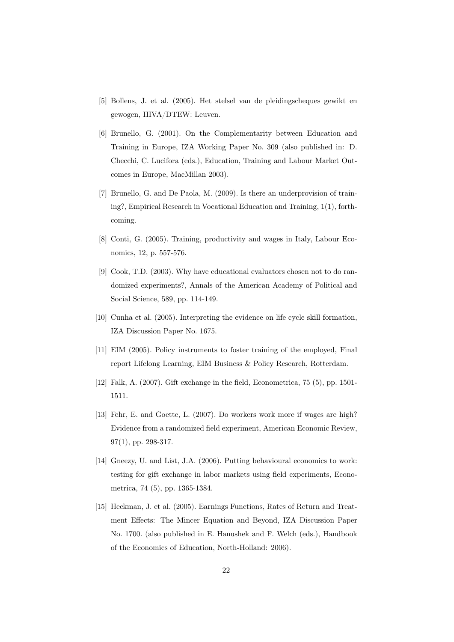- [5] Bollens, J. et al. (2005). Het stelsel van de pleidingscheques gewikt en gewogen, HIVA/DTEW: Leuven.
- [6] Brunello, G. (2001). On the Complementarity between Education and Training in Europe, IZA Working Paper No. 309 (also published in: D. Checchi, C. Lucifora (eds.), Education, Training and Labour Market Outcomes in Europe, MacMillan 2003).
- [7] Brunello, G. and De Paola, M. (2009). Is there an underprovision of training?, Empirical Research in Vocational Education and Training, 1(1), forthcoming.
- [8] Conti, G. (2005). Training, productivity and wages in Italy, Labour Economics, 12, p. 557-576.
- [9] Cook, T.D. (2003). Why have educational evaluators chosen not to do randomized experiments?, Annals of the American Academy of Political and Social Science, 589, pp. 114-149.
- [10] Cunha et al. (2005). Interpreting the evidence on life cycle skill formation, IZA Discussion Paper No. 1675.
- [11] EIM (2005). Policy instruments to foster training of the employed, Final report Lifelong Learning, EIM Business & Policy Research, Rotterdam.
- [12] Falk, A. (2007). Gift exchange in the field, Econometrica, 75 (5), pp. 1501- 1511.
- [13] Fehr, E. and Goette, L. (2007). Do workers work more if wages are high? Evidence from a randomized field experiment, American Economic Review, 97(1), pp. 298-317.
- [14] Gneezy, U. and List, J.A. (2006). Putting behavioural economics to work: testing for gift exchange in labor markets using field experiments, Econometrica, 74 (5), pp. 1365-1384.
- [15] Heckman, J. et al. (2005). Earnings Functions, Rates of Return and Treatment Effects: The Mincer Equation and Beyond, IZA Discussion Paper No. 1700. (also published in E. Hanushek and F. Welch (eds.), Handbook of the Economics of Education, North-Holland: 2006).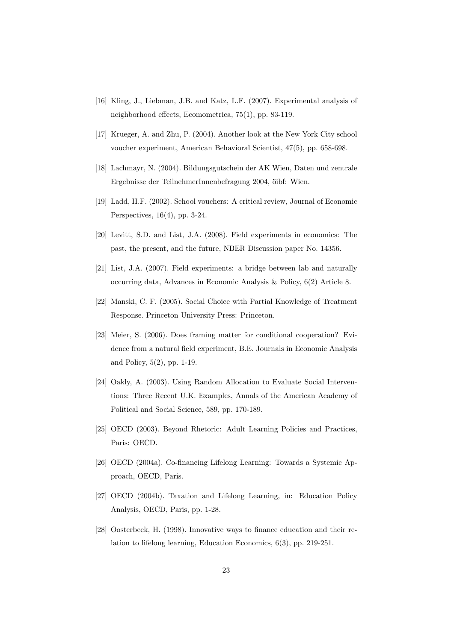- [16] Kling, J., Liebman, J.B. and Katz, L.F. (2007). Experimental analysis of neighborhood effects, Ecomometrica, 75(1), pp. 83-119.
- [17] Krueger, A. and Zhu, P. (2004). Another look at the New York City school voucher experiment, American Behavioral Scientist, 47(5), pp. 658-698.
- [18] Lachmayr, N. (2004). Bildungsgutschein der AK Wien, Daten und zentrale Ergebnisse der TeilnehmerInnenbefragung 2004, öibf: Wien.
- [19] Ladd, H.F. (2002). School vouchers: A critical review, Journal of Economic Perspectives, 16(4), pp. 3-24.
- [20] Levitt, S.D. and List, J.A. (2008). Field experiments in economics: The past, the present, and the future, NBER Discussion paper No. 14356.
- [21] List, J.A. (2007). Field experiments: a bridge between lab and naturally occurring data, Advances in Economic Analysis & Policy, 6(2) Article 8.
- [22] Manski, C. F. (2005). Social Choice with Partial Knowledge of Treatment Response. Princeton University Press: Princeton.
- [23] Meier, S. (2006). Does framing matter for conditional cooperation? Evidence from a natural field experiment, B.E. Journals in Economic Analysis and Policy, 5(2), pp. 1-19.
- [24] Oakly, A. (2003). Using Random Allocation to Evaluate Social Interventions: Three Recent U.K. Examples, Annals of the American Academy of Political and Social Science, 589, pp. 170-189.
- [25] OECD (2003). Beyond Rhetoric: Adult Learning Policies and Practices, Paris: OECD.
- [26] OECD (2004a). Co-financing Lifelong Learning: Towards a Systemic Approach, OECD, Paris.
- [27] OECD (2004b). Taxation and Lifelong Learning, in: Education Policy Analysis, OECD, Paris, pp. 1-28.
- [28] Oosterbeek, H. (1998). Innovative ways to finance education and their relation to lifelong learning, Education Economics, 6(3), pp. 219-251.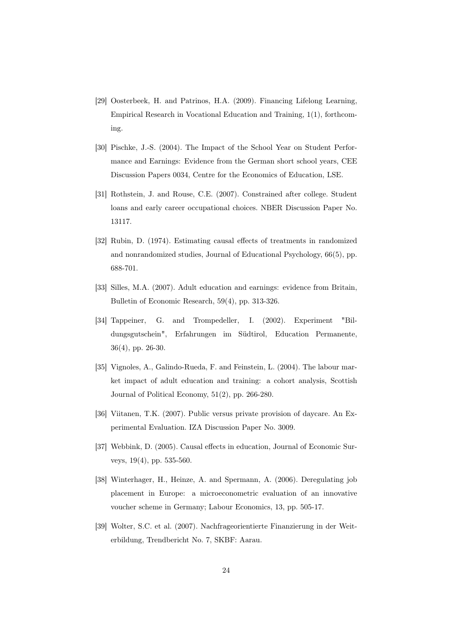- [29] Oosterbeek, H. and Patrinos, H.A. (2009). Financing Lifelong Learning, Empirical Research in Vocational Education and Training, 1(1), forthcoming.
- [30] Pischke, J.-S. (2004). The Impact of the School Year on Student Performance and Earnings: Evidence from the German short school years, CEE Discussion Papers 0034, Centre for the Economics of Education, LSE.
- [31] Rothstein, J. and Rouse, C.E. (2007). Constrained after college. Student loans and early career occupational choices. NBER Discussion Paper No. 13117.
- [32] Rubin, D. (1974). Estimating causal effects of treatments in randomized and nonrandomized studies, Journal of Educational Psychology, 66(5), pp. 688-701.
- [33] Silles, M.A. (2007). Adult education and earnings: evidence from Britain, Bulletin of Economic Research, 59(4), pp. 313-326.
- [34] Tappeiner, G. and Trompedeller, I. (2002). Experiment "Bildungsgutschein", Erfahrungen im Südtirol, Education Permanente, 36(4), pp. 26-30.
- [35] Vignoles, A., Galindo-Rueda, F. and Feinstein, L. (2004). The labour market impact of adult education and training: a cohort analysis, Scottish Journal of Political Economy, 51(2), pp. 266-280.
- [36] Viitanen, T.K. (2007). Public versus private provision of daycare. An Experimental Evaluation. IZA Discussion Paper No. 3009.
- [37] Webbink, D. (2005). Causal effects in education, Journal of Economic Surveys, 19(4), pp. 535-560.
- [38] Winterhager, H., Heinze, A. and Spermann, A. (2006). Deregulating job placement in Europe: a microeconometric evaluation of an innovative voucher scheme in Germany; Labour Economics, 13, pp. 505-17.
- [39] Wolter, S.C. et al. (2007). Nachfrageorientierte Finanzierung in der Weiterbildung, Trendbericht No. 7, SKBF: Aarau.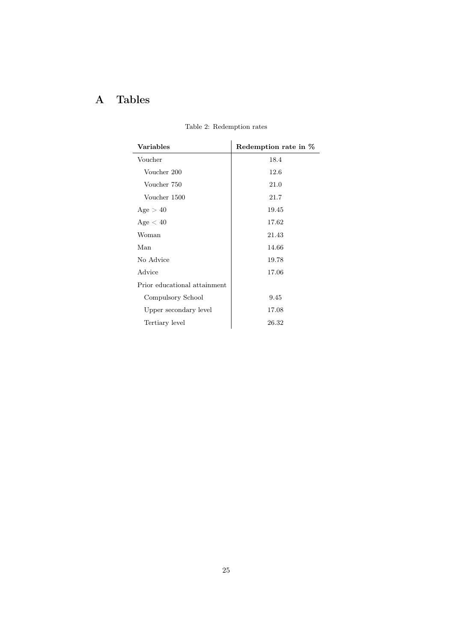# <span id="page-27-0"></span>A Tables

| <b>Variables</b>             | Redemption rate in % |
|------------------------------|----------------------|
| Voucher                      | 18.4                 |
| Voucher 200                  | 12.6                 |
| Voucher 750                  | 21.0                 |
| Voucher 1500                 | 21.7                 |
| Age > 40                     | 19.45                |
| Age < 40                     | 17.62                |
| Woman                        | 21.43                |
| Man                          | 14.66                |
| No Advice                    | 19.78                |
| Advice                       | 17.06                |
| Prior educational attainment |                      |
| Compulsory School            | 9.45                 |
| Upper secondary level        | 17.08                |
| Tertiary level               | 26.32                |

Table 2: Redemption rates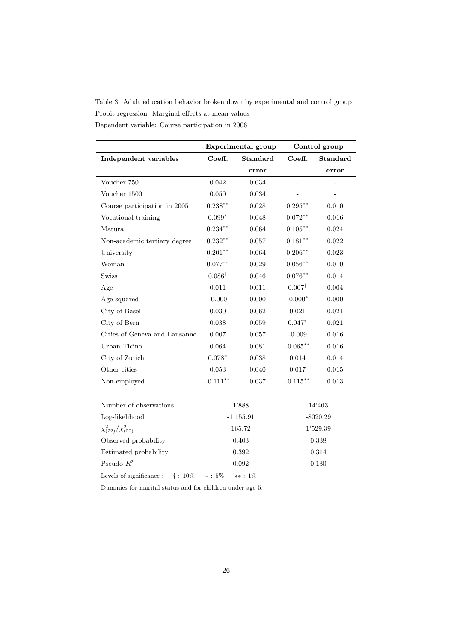<span id="page-28-0"></span>Table 3: Adult education behavior broken down by experimental and control group Probit regression: Marginal effects at mean values

Dependent variable: Course participation in 2006

|                               | <b>Experimental group</b> |          |                   | Control group   |
|-------------------------------|---------------------------|----------|-------------------|-----------------|
| Independent variables         | Coeff.                    | Standard | Coeff.            | <b>Standard</b> |
|                               |                           | error    |                   | error           |
| Voucher 750                   | 0.042                     | 0.034    |                   |                 |
| Voucher 1500                  | 0.050                     | 0.034    |                   |                 |
| Course participation in 2005  | $0.238***$                | 0.028    | $0.295***$        | 0.010           |
| Vocational training           | $0.099*$                  | 0.048    | $0.072**$         | 0.016           |
| Matura                        | $0.234***$                | 0.064    | $0.105***$        | 0.024           |
| Non-academic tertiary degree  | $0.232**$                 | 0.057    | $0.181***$        | 0.022           |
| University                    | $0.201***$                | 0.064    | $0.206***$        | 0.023           |
| Woman                         | $0.077**$                 | 0.029    | $0.056***$        | 0.010           |
| <b>Swiss</b>                  | $0.086^{\dagger}$         | 0.046    | $0.076***$        | 0.014           |
| Age                           | 0.011                     | 0.011    | $0.007^{\dagger}$ | 0.004           |
| Age squared                   | $-0.000$                  | 0.000    | $-0.000*$         | 0.000           |
| City of Basel                 | 0.030                     | 0.062    | 0.021             | 0.021           |
| City of Bern                  | 0.038                     | 0.059    | $0.047*$          | 0.021           |
| Cities of Geneva and Lausanne | 0.007                     | 0.057    | $-0.009$          | 0.016           |
| Urban Ticino                  | 0.064                     | 0.081    | $-0.065***$       | 0.016           |
| City of Zurich                | $0.078*$                  | 0.038    | $\,0.014\,$       | 0.014           |
| Other cities                  | 0.053                     | 0.040    | 0.017             | 0.015           |
| Non-employed                  | $-0.111***$               | 0.037    | $-0.115***$       | $\,0.013\,$     |
|                               |                           |          |                   |                 |
| Number of observations        | 1'888                     |          | 14'403            |                 |
| Log-likelihood                | $-1'155.91$               |          | $-8020.29$        |                 |
| $\chi_{(22)}^2/\chi_{(20)}^2$ | 165.72                    |          | 1'529.39          |                 |
| Observed probability          | 0.403                     |          | 0.338             |                 |
| Estimated probability         | 0.392                     |          | 0.314             |                 |
| Pseudo $R^2$                  | 0.092                     |          | 0.130             |                 |
|                               |                           |          |                   |                 |

Levels of significance :  $\qquad$  † : 10% \* : 5% \*\* : 1%

Dummies for marital status and for children under age 5.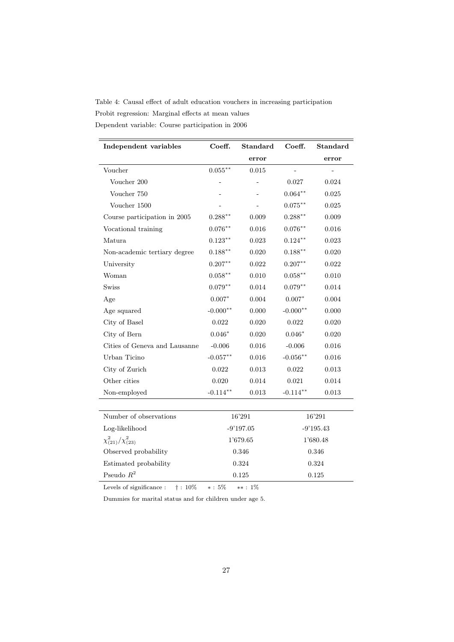<span id="page-29-0"></span>Table 4: Causal effect of adult education vouchers in increasing participation Probit regression: Marginal effects at mean values Dependent variable: Course participation in 2006

|             |       | Coeff.                | Standard |
|-------------|-------|-----------------------|----------|
|             | error |                       | error    |
| $0.055***$  | 0.015 |                       |          |
|             |       | 0.027                 | 0.024    |
|             |       | $0.064***$            | 0.025    |
|             |       | $0.075***$            | 0.025    |
| $0.288**$   | 0.009 | $0.288**$             | 0.009    |
| $0.076***$  | 0.016 | $0.076***$            | 0.016    |
| $0.123***$  | 0.023 | $0.124***$            | 0.023    |
| $0.188***$  | 0.020 | $0.188***$            | 0.020    |
| $0.207**$   | 0.022 | $0.207**$             | 0.022    |
| $0.058***$  | 0.010 | $0.058***$            | 0.010    |
| $0.079**$   | 0.014 | $0.079**$             | 0.014    |
| $0.007*$    | 0.004 | $0.007*$              | 0.004    |
| $-0.000**$  | 0.000 | $-0.000**$            | 0.000    |
| 0.022       | 0.020 | 0.022                 | 0.020    |
| $0.046*$    | 0.020 | $0.046*$              | 0.020    |
| $-0.006$    | 0.016 | $-0.006$              | 0.016    |
| $-0.057**$  | 0.016 | $-0.056***$           | 0.016    |
| 0.022       | 0.013 | 0.022                 | 0.013    |
| 0.020       | 0.014 | 0.021                 | 0.014    |
| $-0.114***$ | 0.013 | $-0.114***$           | 0.013    |
|             |       |                       |          |
| 16'291      |       | 16'291                |          |
| $-9'197.05$ |       | $-9'195.43$           |          |
| 1'679.65    |       | 1'680.48              |          |
| 0.346       |       | 0.346                 |          |
| 0.324       |       | 0.324                 |          |
|             |       | 0.125                 |          |
|             |       | 0.125<br>$-01$<br>107 |          |

Levels of significance :  $\qquad$  † : 10% \* : 5% \*\* : 1%

Dummies for marital status and for children under age 5.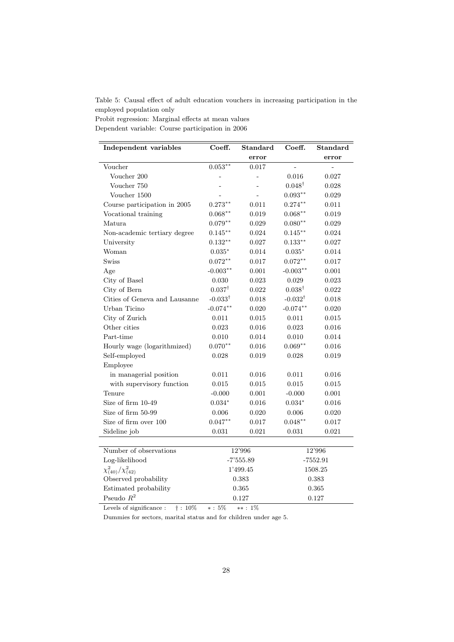<span id="page-30-0"></span>Table 5: Causal effect of adult education vouchers in increasing participation in the employed population only

Probit regression: Marginal effects at mean values Dependent variable: Course participation in 2006

| Independent variables         | Coeff.             | Standard | Coeff.             | Standard  |
|-------------------------------|--------------------|----------|--------------------|-----------|
|                               |                    | error    |                    | error     |
| Voucher                       | $0.053***$         | 0.017    |                    |           |
| Voucher 200                   |                    |          | 0.016              | 0.027     |
| Voucher 750                   |                    |          | $0.048^{\dagger}$  | 0.028     |
| Voucher 1500                  |                    |          | $0.093**$          | 0.029     |
| Course participation in 2005  | $0.273**$          | 0.011    | $0.274**$          | 0.011     |
| Vocational training           | $0.068***$         | 0.019    | $0.068***$         | 0.019     |
| Matura                        | $0.079**$          | 0.029    | $0.080**$          | 0.029     |
| Non-academic tertiary degree  | $0.145***$         | 0.024    | $0.145***$         | 0.024     |
| University                    | $0.132**$          | 0.027    | $0.133***$         | 0.027     |
| Woman                         | $0.035*$           | 0.014    | $0.035*$           | 0.014     |
| Swiss                         | $0.072**$          | 0.017    | $0.072**$          | 0.017     |
| Age                           | $-0.003**$         | 0.001    | $-0.003**$         | 0.001     |
| City of Basel                 | 0.030              | 0.023    | 0.029              | 0.023     |
| City of Bern                  | $0.037^{\dagger}$  | 0.022    | $0.038^{\dagger}$  | 0.022     |
| Cities of Geneva and Lausanne | $-0.033^{\dagger}$ | 0.018    | $-0.032^{\dagger}$ | 0.018     |
| Urban Ticino                  | $-0.074***$        | 0.020    | $-0.074***$        | 0.020     |
| City of Zurich                | 0.011              | 0.015    | 0.011              | 0.015     |
| Other cities                  | 0.023              | 0.016    | 0.023              | 0.016     |
| Part-time                     | 0.010              | 0.014    | 0.010              | 0.014     |
| Hourly wage (logarithmized)   | $0.070**$          | 0.016    | $0.069**$          | 0.016     |
| Self-employed                 | 0.028              | 0.019    | 0.028              | 0.019     |
| Employee                      |                    |          |                    |           |
| in managerial position        | 0.011              | 0.016    | 0.011              | 0.016     |
| with supervisory function     | $\,0.015\,$        | 0.015    | 0.015              | 0.015     |
| Tenure                        | $-0.000$           | 0.001    | $-0.000$           | $0.001\,$ |
| Size of firm 10-49            | $0.034*$           | 0.016    | $0.034*$           | 0.016     |
| Size of firm 50-99            | $0.006\,$          | 0.020    | 0.006              | 0.020     |
| Size of firm over 100         | $0.047**$          | 0.017    | $0.048**$          | 0.017     |
| Sideline job                  | 0.031              | 0.021    | 0.031              | 0.021     |
|                               |                    |          |                    |           |
| Number of observations        | 12'996             |          | 12'996             |           |
| Log-likelihood                | $-7'555.89$        |          | $-7552.91$         |           |
| $\chi^2_{(40)}/\chi^2_{(42)}$ | 1'499.45           |          | 1508.25            |           |
| Observed probability          | 0.383              |          | 0.383              |           |
| Estimated probability         |                    | 0.365    | 0.365              |           |
| Pseudo $R^2$                  | 0.127              |          | 0.127              |           |

Levels of significance :  $\dagger$  : 10% \* : 5% \*\* : 1%

Dummies for sectors, marital status and for children under age 5.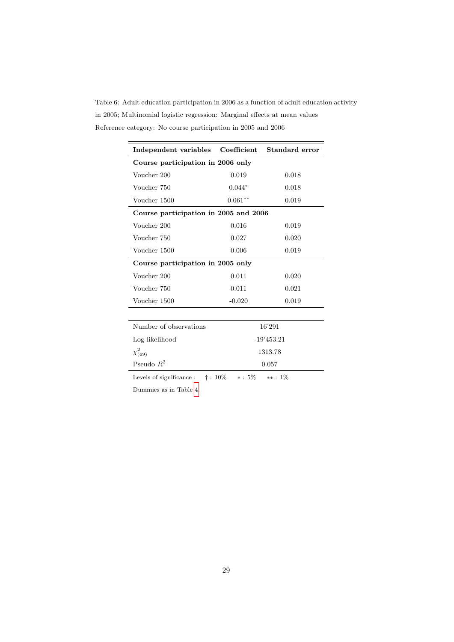<span id="page-31-0"></span>Table 6: Adult education participation in 2006 as a function of adult education activity in 2005; Multinomial logistic regression: Marginal effects at mean values Reference category: No course participation in 2005 and 2006

| Independent variables Coefficient Standard error                      |           |       |  |  |  |
|-----------------------------------------------------------------------|-----------|-------|--|--|--|
| Course participation in 2006 only                                     |           |       |  |  |  |
| Voucher 200                                                           | 0.019     | 0.018 |  |  |  |
| Voucher 750                                                           | $0.044*$  | 0.018 |  |  |  |
| Voucher 1500                                                          | $0.061**$ | 0.019 |  |  |  |
| Course participation in 2005 and 2006                                 |           |       |  |  |  |
| Voucher 200                                                           | 0.016     | 0.019 |  |  |  |
| Voucher 750                                                           | 0.027     | 0.020 |  |  |  |
| Voucher 1500                                                          | 0.006     | 0.019 |  |  |  |
| Course participation in 2005 only                                     |           |       |  |  |  |
| Voucher 200                                                           | 0.011     | 0.020 |  |  |  |
| Voucher 750                                                           | 0.011     | 0.021 |  |  |  |
| Voucher 1500                                                          | $-0.020$  | 0.019 |  |  |  |
|                                                                       |           |       |  |  |  |
| Number of observations<br>16'291                                      |           |       |  |  |  |
| $-19'453.21$<br>Log-likelihood                                        |           |       |  |  |  |
| $\chi^2_{(69)}$                                                       | 1313.78   |       |  |  |  |
| Pseudo $R^2$                                                          | 0.057     |       |  |  |  |
| $*: 5\%$ $**: 1\%$<br>Levels of significance :<br>$\dagger$ : 10 $\%$ |           |       |  |  |  |

Dummies as in Table [4.](#page-29-0)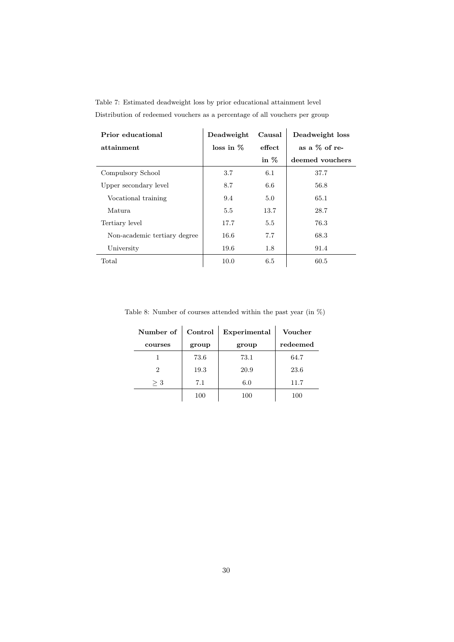| Prior educational<br>attainment | Deadweight<br>$\cos$ in $\%$ | Causal<br>effect | Deadweight loss<br>as a $\%$ of re- |
|---------------------------------|------------------------------|------------------|-------------------------------------|
|                                 |                              | in $%$           | deemed vouchers                     |
| Compulsory School               | 3.7                          | 6.1              | 37.7                                |
| Upper secondary level           | 8.7                          | 6.6              | 56.8                                |
| Vocational training             | 9.4                          | 5.0              | 65.1                                |
| Matura                          | 5.5                          | 13.7             | 28.7                                |
| Tertiary level                  | 17.7                         | 5.5              | 76.3                                |
| Non-academic tertiary degree    | 16.6                         | 7.7              | 68.3                                |
| University                      | 19.6                         | 1.8              | 91.4                                |
| Total                           | 10.0                         | 6.5              | 60.5                                |

<span id="page-32-0"></span>Table 7: Estimated deadweight loss by prior educational attainment level Distribution of redeemed vouchers as a percentage of all vouchers per group

<span id="page-32-1"></span>Table 8: Number of courses attended within the past year (in %)

| Number of | Control | Experimental | <b>Voucher</b> |
|-----------|---------|--------------|----------------|
| courses   | group   | group        | redeemed       |
|           | 73.6    | 73.1         | 64.7           |
| 2         | 19.3    | 20.9         | 23.6           |
| $>$ 3     | 7.1     | 6.0          | 11.7           |
|           | 100     | 100          | 100            |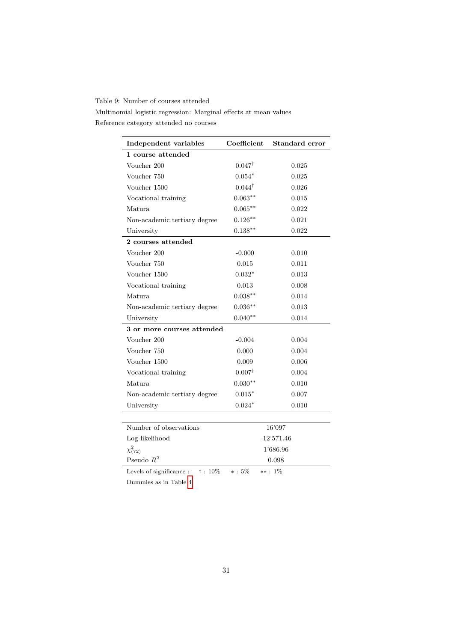<span id="page-33-0"></span>Table 9: Number of courses attended

Multinomial logistic regression: Marginal effects at mean values Reference category attended no courses

| Independent variables                       | Coefficient       | Standard error |  |  |
|---------------------------------------------|-------------------|----------------|--|--|
| 1 course attended                           |                   |                |  |  |
| Voucher 200                                 | $0.047^{\dagger}$ | 0.025          |  |  |
| Voucher 750                                 | $0.054*$          | 0.025          |  |  |
| Voucher 1500                                | $0.044^{\dagger}$ | 0.026          |  |  |
| Vocational training                         | $0.063**$         | 0.015          |  |  |
| Matura                                      | $0.065***$        | 0.022          |  |  |
| Non-academic tertiary degree                | $0.126***$        | 0.021          |  |  |
| University                                  | $0.138***$        | 0.022          |  |  |
| 2 courses attended                          |                   |                |  |  |
| Voucher 200                                 | $-0.000$          | 0.010          |  |  |
| Voucher 750                                 | 0.015             | 0.011          |  |  |
| Voucher 1500                                | $0.032*$          | 0.013          |  |  |
| Vocational training                         | 0.013             | 0.008          |  |  |
| Matura                                      | $0.038***$        | 0.014          |  |  |
| Non-academic tertiary degree                | $0.036***$        | 0.013          |  |  |
| University                                  | $0.040**$         | 0.014          |  |  |
| 3 or more courses attended                  |                   |                |  |  |
| Voucher 200                                 | $-0.004$          | 0.004          |  |  |
| Voucher 750                                 | 0.000             | 0.004          |  |  |
| Voucher 1500                                | 0.009             | 0.006          |  |  |
| Vocational training                         | $0.007^{\dagger}$ | 0.004          |  |  |
| Matura                                      | $0.030**$         | 0.010          |  |  |
| Non-academic tertiary degree                | $0.015*$          | 0.007          |  |  |
| University                                  | $0.024*$          | 0.010          |  |  |
|                                             |                   |                |  |  |
| Number of observations                      | 16'097            |                |  |  |
| Log-likelihood                              | $-12'571.46$      |                |  |  |
| $\chi^{2}_{(72)}$                           | 1'686.96          |                |  |  |
| Pseudo $R^2$                                | 0.098             |                |  |  |
| $\dagger$ : 10%<br>Levels of significance : | $* : 5\%$         | $**: 1\%$      |  |  |

Dummies as in Table [4.](#page-29-0)